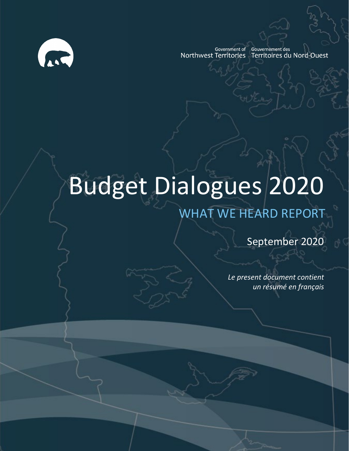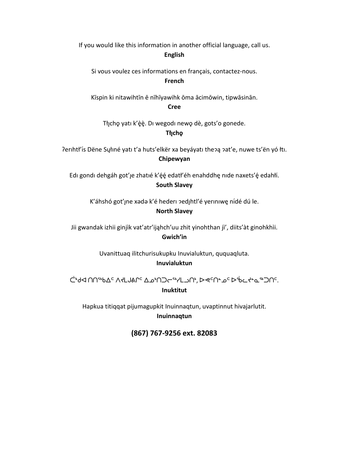If you would like this information in another official language, call us. **English**

Si vous voulez ces informations en français, contactez-nous. **French**

Kīspin ki nitawihtīn ē nīhīyawihk ōma ācimōwin, tipwāsinān.

**Cree**

Tłįcho yatı k'èè. Di wegodi newo dè, gots'o gonede. **Tłı̨chǫ**

Perihtł'is Dëne Syłiné yati t'a huts'elkër xa beyáyati theo pat'e, nuwe ts'ën yó łti. **Chipewyan**

Edi gondi dehgáh got'je zhatié k'éé edatł'éh enahddhę nide naxets'é edahłí. **South Slavey**

K'áhshó got'ıne xada k'é hederi zedihtl'é yeriniwe nídé dú le.

#### **North Slavey**

Jii gwandak izhii ginjìk vat'atr'ijąhch'uu zhit yinohthan jì', diits'àt ginohkhìi. **Gwich'in**

> Uvanittuaq ilitchurisukupku Inuvialuktun, ququaqluta. **Inuvialuktun**

ض المسابين الأولي المسابق الأول المسابق المسابق المسابق المسابق المسابق المسابق المسابق المسابق المس **Inuktitut**

Hapkua titiqqat pijumagupkit Inuinnaqtun, uvaptinnut hivajarlutit. **Inuinnaqtun**

**(867) 767-9256 ext. 82083**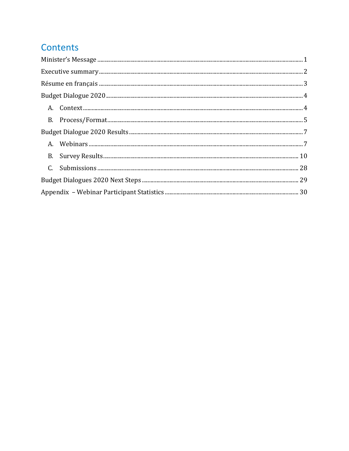# Contents

| $\textbf{Execute summary} \textit{} \textit{} \textit{} \textit{} \textit{} \textit{} \textit{} \textit{} \textit{} \textit{} \textit{} \textit{} \textit{} \textit{} \textit{} \textit{} \textit{} \textit{} \textit{} \textit{} \textit{} \textit{} \textit{} \textit{} \textit{} \textit{} \textit{} \textit{} \textit{} \textit{} \textit{} \textit{} \textit{} \textit{} \textit{} \text$ |
|------------------------------------------------------------------------------------------------------------------------------------------------------------------------------------------------------------------------------------------------------------------------------------------------------------------------------------------------------------------------------------------------|
|                                                                                                                                                                                                                                                                                                                                                                                                |
|                                                                                                                                                                                                                                                                                                                                                                                                |
|                                                                                                                                                                                                                                                                                                                                                                                                |
|                                                                                                                                                                                                                                                                                                                                                                                                |
|                                                                                                                                                                                                                                                                                                                                                                                                |
|                                                                                                                                                                                                                                                                                                                                                                                                |
|                                                                                                                                                                                                                                                                                                                                                                                                |
|                                                                                                                                                                                                                                                                                                                                                                                                |
|                                                                                                                                                                                                                                                                                                                                                                                                |
|                                                                                                                                                                                                                                                                                                                                                                                                |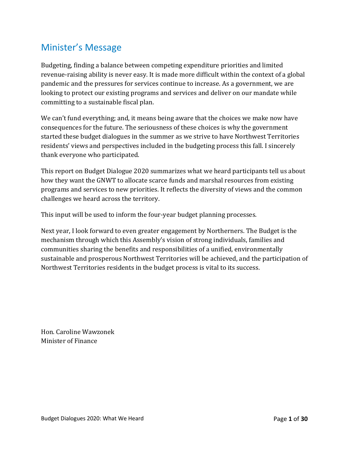# <span id="page-3-0"></span>Minister's Message

Budgeting, finding a balance between competing expenditure priorities and limited revenue-raising ability is never easy. It is made more difficult within the context of a global pandemic and the pressures for services continue to increase. As a government, we are looking to protect our existing programs and services and deliver on our mandate while committing to a sustainable fiscal plan.

We can't fund everything; and, it means being aware that the choices we make now have consequences for the future. The seriousness of these choices is why the government started these budget dialogues in the summer as we strive to have Northwest Territories residents' views and perspectives included in the budgeting process this fall. I sincerely thank everyone who participated.

This report on Budget Dialogue 2020 summarizes what we heard participants tell us about how they want the GNWT to allocate scarce funds and marshal resources from existing programs and services to new priorities. It reflects the diversity of views and the common challenges we heard across the territory.

This input will be used to inform the four-year budget planning processes.

Next year, I look forward to even greater engagement by Northerners. The Budget is the mechanism through which this Assembly's vision of strong individuals, families and communities sharing the benefits and responsibilities of a unified, environmentally sustainable and prosperous Northwest Territories will be achieved, and the participation of Northwest Territories residents in the budget process is vital to its success.

Hon. Caroline Wawzonek Minister of Finance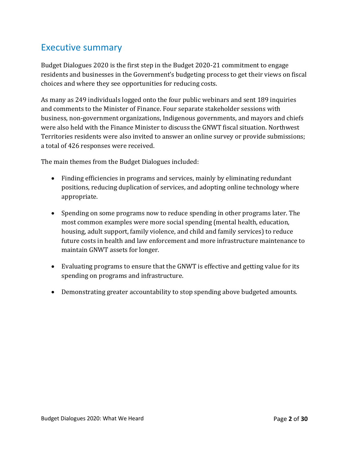# <span id="page-4-0"></span>Executive summary

Budget Dialogues 2020 is the first step in the Budget 2020-21 commitment to engage residents and businesses in the Government's budgeting process to get their views on fiscal choices and where they see opportunities for reducing costs.

As many as 249 individuals logged onto the four public webinars and sent 189 inquiries and comments to the Minister of Finance. Four separate stakeholder sessions with business, non-government organizations, Indigenous governments, and mayors and chiefs were also held with the Finance Minister to discuss the GNWT fiscal situation. Northwest Territories residents were also invited to answer an online survey or provide submissions; a total of 426 responses were received.

The main themes from the Budget Dialogues included:

- Finding efficiencies in programs and services, mainly by eliminating redundant positions, reducing duplication of services, and adopting online technology where appropriate.
- Spending on some programs now to reduce spending in other programs later. The most common examples were more social spending (mental health, education, housing, adult support, family violence, and child and family services) to reduce future costs in health and law enforcement and more infrastructure maintenance to maintain GNWT assets for longer.
- Evaluating programs to ensure that the GNWT is effective and getting value for its spending on programs and infrastructure.
- Demonstrating greater accountability to stop spending above budgeted amounts.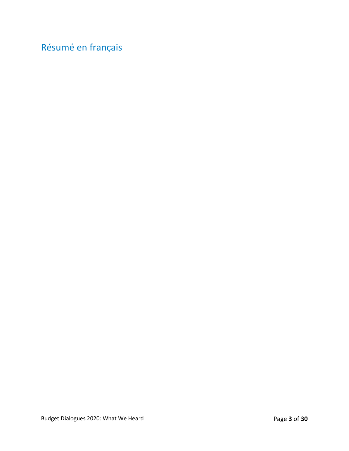# <span id="page-5-0"></span>Résumé en français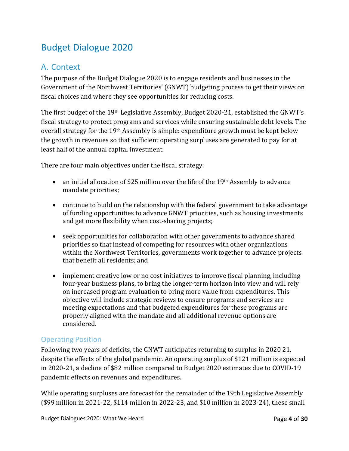# <span id="page-6-0"></span>Budget Dialogue 2020

# <span id="page-6-1"></span>A. Context

The purpose of the Budget Dialogue 2020 is to engage residents and businesses in the Government of the Northwest Territories' (GNWT) budgeting process to get their views on fiscal choices and where they see opportunities for reducing costs.

The first budget of the 19th Legislative Assembly, Budget 2020-21, established the GNWT's fiscal strategy to protect programs and services while ensuring sustainable debt levels. The overall strategy for the 19th Assembly is simple: expenditure growth must be kept below the growth in revenues so that sufficient operating surpluses are generated to pay for at least half of the annual capital investment.

There are four main objectives under the fiscal strategy:

- an initial allocation of \$25 million over the life of the 19<sup>th</sup> Assembly to advance mandate priorities;
- continue to build on the relationship with the federal government to take advantage of funding opportunities to advance GNWT priorities, such as housing investments and get more flexibility when cost-sharing projects;
- seek opportunities for collaboration with other governments to advance shared priorities so that instead of competing for resources with other organizations within the Northwest Territories, governments work together to advance projects that benefit all residents; and
- implement creative low or no cost initiatives to improve fiscal planning, including four-year business plans, to bring the longer-term horizon into view and will rely on increased program evaluation to bring more value from expenditures. This objective will include strategic reviews to ensure programs and services are meeting expectations and that budgeted expenditures for these programs are properly aligned with the mandate and all additional revenue options are considered.

# Operating Position

Following two years of deficits, the GNWT anticipates returning to surplus in 2020 21, despite the effects of the global pandemic. An operating surplus of \$121 million is expected in 2020-21, a decline of \$82 million compared to Budget 2020 estimates due to COVID-19 pandemic effects on revenues and expenditures.

While operating surpluses are forecast for the remainder of the 19th Legislative Assembly (\$99 million in 2021-22, \$114 million in 2022-23, and \$10 million in 2023-24), these small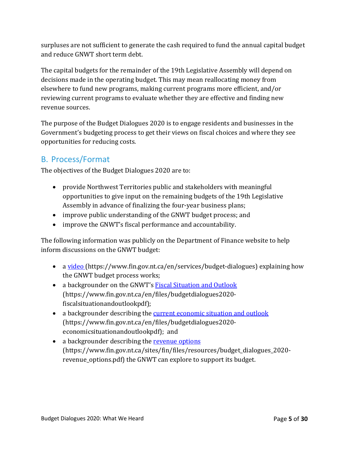surpluses are not sufficient to generate the cash required to fund the annual capital budget and reduce GNWT short term debt.

The capital budgets for the remainder of the 19th Legislative Assembly will depend on decisions made in the operating budget. This may mean reallocating money from elsewhere to fund new programs, making current programs more efficient, and/or reviewing current programs to evaluate whether they are effective and finding new revenue sources.

The purpose of the Budget Dialogues 2020 is to engage residents and businesses in the Government's budgeting process to get their views on fiscal choices and where they see opportunities for reducing costs.

# <span id="page-7-0"></span>B. Process/Format

The objectives of the Budget Dialogues 2020 are to:

- provide Northwest Territories public and stakeholders with meaningful opportunities to give input on the remaining budgets of the 19th Legislative Assembly in advance of finalizing the four-year business plans;
- improve public understanding of the GNWT budget process; and
- improve the GNWT's fiscal performance and accountability.

The following information was publicly on the Department of Finance website to help inform discussions on the GNWT budget:

- a [video \(](https://www.fin.gov.nt.ca/en/services/budget-dialogues)https://www.fin.gov.nt.ca/en/services/budget-dialogues) explaining how the GNWT budget process works;
- a backgrounder on the GNWT's [Fiscal Situation and Outlook](https://www.fin.gov.nt.ca/en/files/budgetdialogues2020-fiscalsituationandoutlookpdf) (https://www.fin.gov.nt.ca/en/files/budgetdialogues2020 fiscalsituationandoutlookpdf);
- a backgrounder describing the [current economic situation and outlook](https://www.fin.gov.nt.ca/en/files/budgetdialogues2020-economicsituationandoutlookpdf) (https://www.fin.gov.nt.ca/en/files/budgetdialogues2020 economicsituationandoutlookpdf); and
- a backgrounder describing the [revenue options](https://www.fin.gov.nt.ca/sites/fin/files/resources/budget_dialogues_2020-revenue_options.pdf) (https://www.fin.gov.nt.ca/sites/fin/files/resources/budget\_dialogues\_2020 revenue\_options.pdf) the GNWT can explore to support its budget.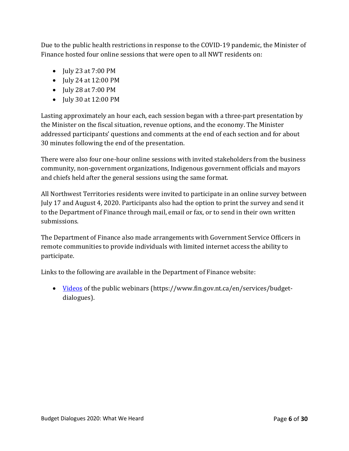Due to the public health restrictions in response to the COVID-19 pandemic, the Minister of Finance hosted four online sessions that were open to all NWT residents on:

- **July 23 at 7:00 PM**
- **July 24 at 12:00 PM**
- July 28 at 7:00 PM
- July 30 at 12:00 PM

Lasting approximately an hour each, each session began with a three-part presentation by the Minister on the fiscal situation, revenue options, and the economy. The Minister addressed participants' questions and comments at the end of each section and for about 30 minutes following the end of the presentation.

There were also four one-hour online sessions with invited stakeholders from the business community, non-government organizations, Indigenous government officials and mayors and chiefs held after the general sessions using the same format.

All Northwest Territories residents were invited to participate in an online survey between July 17 and August 4, 2020. Participants also had the option to print the survey and send it to the Department of Finance through mail, email or fax, or to send in their own written submissions.

The Department of Finance also made arrangements with Government Service Officers in remote communities to provide individuals with limited internet access the ability to participate.

Links to the following are available in the Department of Finance website:

• [Videos](https://www.fin.gov.nt.ca/en/services/budget-dialogues) of the public webinars (https://www.fin.gov.nt.ca/en/services/budgetdialogues).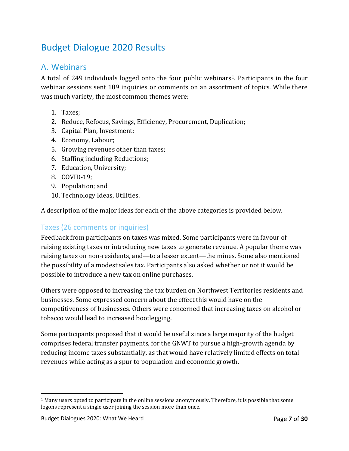# <span id="page-9-0"></span>Budget Dialogue 2020 Results

# <span id="page-9-1"></span>A. Webinars

A total of 249 individuals logged onto the four public webinars<sup>[1](#page-9-2)</sup>. Participants in the four webinar sessions sent 189 inquiries or comments on an assortment of topics. While there was much variety, the most common themes were:

- 1. Taxes;
- 2. Reduce, Refocus, Savings, Efficiency, Procurement, Duplication;
- 3. Capital Plan, Investment;
- 4. Economy, Labour;
- 5. Growing revenues other than taxes;
- 6. Staffing including Reductions;
- 7. Education, University;
- 8. COVID-19;
- 9. Population; and
- 10. Technology Ideas, Utilities.

A description of the major ideas for each of the above categories is provided below.

## Taxes (26 comments or inquiries)

Feedback from participants on taxes was mixed. Some participants were in favour of raising existing taxes or introducing new taxes to generate revenue. A popular theme was raising taxes on non-residents, and—to a lesser extent—the mines. Some also mentioned the possibility of a modest sales tax. Participants also asked whether or not it would be possible to introduce a new tax on online purchases.

Others were opposed to increasing the tax burden on Northwest Territories residents and businesses. Some expressed concern about the effect this would have on the competitiveness of businesses. Others were concerned that increasing taxes on alcohol or tobacco would lead to increased bootlegging.

Some participants proposed that it would be useful since a large majority of the budget comprises federal transfer payments, for the GNWT to pursue a high-growth agenda by reducing income taxes substantially, as that would have relatively limited effects on total revenues while acting as a spur to population and economic growth.

<span id="page-9-2"></span> $1$  Many users opted to participate in the online sessions anonymously. Therefore, it is possible that some logons represent a single user joining the session more than once.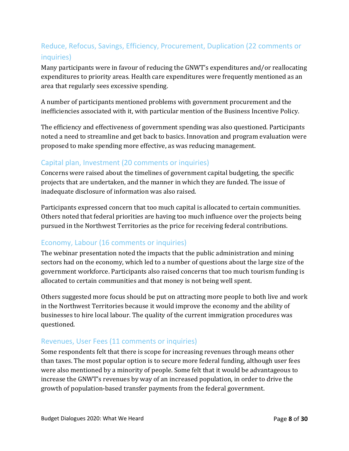# Reduce, Refocus, Savings, Efficiency, Procurement, Duplication (22 comments or inquiries)

Many participants were in favour of reducing the GNWT's expenditures and/or reallocating expenditures to priority areas. Health care expenditures were frequently mentioned as an area that regularly sees excessive spending.

A number of participants mentioned problems with government procurement and the inefficiencies associated with it, with particular mention of the Business Incentive Policy.

The efficiency and effectiveness of government spending was also questioned. Participants noted a need to streamline and get back to basics. Innovation and program evaluation were proposed to make spending more effective, as was reducing management.

## Capital plan, Investment (20 comments or inquiries)

Concerns were raised about the timelines of government capital budgeting, the specific projects that are undertaken, and the manner in which they are funded. The issue of inadequate disclosure of information was also raised.

Participants expressed concern that too much capital is allocated to certain communities. Others noted that federal priorities are having too much influence over the projects being pursued in the Northwest Territories as the price for receiving federal contributions.

## Economy, Labour (16 comments or inquiries)

The webinar presentation noted the impacts that the public administration and mining sectors had on the economy, which led to a number of questions about the large size of the government workforce. Participants also raised concerns that too much tourism funding is allocated to certain communities and that money is not being well spent.

Others suggested more focus should be put on attracting more people to both live and work in the Northwest Territories because it would improve the economy and the ability of businesses to hire local labour. The quality of the current immigration procedures was questioned.

## Revenues, User Fees (11 comments or inquiries)

Some respondents felt that there is scope for increasing revenues through means other than taxes. The most popular option is to secure more federal funding, although user fees were also mentioned by a minority of people. Some felt that it would be advantageous to increase the GNWT's revenues by way of an increased population, in order to drive the growth of population-based transfer payments from the federal government.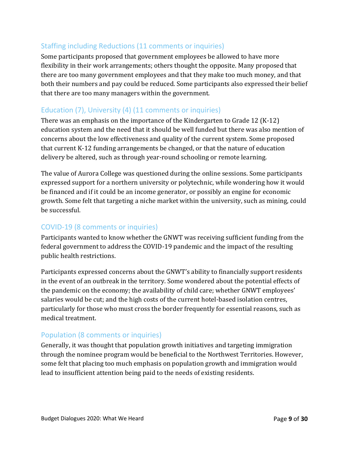# Staffing including Reductions (11 comments or inquiries)

Some participants proposed that government employees be allowed to have more flexibility in their work arrangements; others thought the opposite. Many proposed that there are too many government employees and that they make too much money, and that both their numbers and pay could be reduced. Some participants also expressed their belief that there are too many managers within the government.

# Education (7), University (4) (11 comments or inquiries)

There was an emphasis on the importance of the Kindergarten to Grade 12 (K-12) education system and the need that it should be well funded but there was also mention of concerns about the low effectiveness and quality of the current system. Some proposed that current K-12 funding arrangements be changed, or that the nature of education delivery be altered, such as through year-round schooling or remote learning.

The value of Aurora College was questioned during the online sessions. Some participants expressed support for a northern university or polytechnic, while wondering how it would be financed and if it could be an income generator, or possibly an engine for economic growth. Some felt that targeting a niche market within the university, such as mining, could be successful.

## COVID-19 (8 comments or inquiries)

Participants wanted to know whether the GNWT was receiving sufficient funding from the federal government to address the COVID-19 pandemic and the impact of the resulting public health restrictions.

Participants expressed concerns about the GNWT's ability to financially support residents in the event of an outbreak in the territory. Some wondered about the potential effects of the pandemic on the economy; the availability of child care; whether GNWT employees' salaries would be cut; and the high costs of the current hotel-based isolation centres, particularly for those who must cross the border frequently for essential reasons, such as medical treatment.

# Population (8 comments or inquiries)

Generally, it was thought that population growth initiatives and targeting immigration through the nominee program would be beneficial to the Northwest Territories. However, some felt that placing too much emphasis on population growth and immigration would lead to insufficient attention being paid to the needs of existing residents.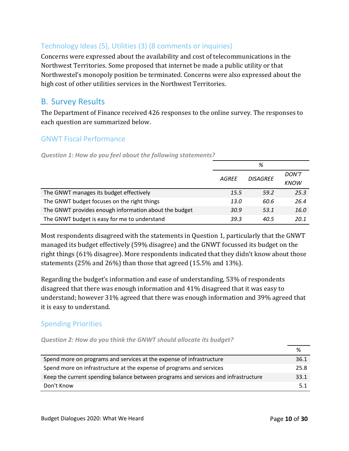# Technology Ideas (5), Utilities (3) (8 comments or inquiries)

Concerns were expressed about the availability and cost of telecommunications in the Northwest Territories. Some proposed that internet be made a public utility or that Northwestel's monopoly position be terminated. Concerns were also expressed about the high cost of other utilities services in the Northwest Territories.

# <span id="page-12-0"></span>B. Survey Results

The Department of Finance received 426 responses to the online survey. The responses to each question are summarized below.

## GNWT Fiscal Performance

*Question 1: How do you feel about the following statements?*

|                                                       |       | %               |              |
|-------------------------------------------------------|-------|-----------------|--------------|
|                                                       | AGREE | <b>DISAGREE</b> | <b>DON'T</b> |
|                                                       |       |                 | <b>KNOW</b>  |
| The GNWT manages its budget effectively               | 15.5  | 59.2            | 25.3         |
| The GNWT budget focuses on the right things           | 13.0  | 60.6            | 26.4         |
| The GNWT provides enough information about the budget | 30.9  | 53.1            | 16.0         |
| The GNWT budget is easy for me to understand          | 39.3  | 40.5            | 20.1         |

Most respondents disagreed with the statements in Question 1, particularly that the GNWT managed its budget effectively (59% disagree) and the GNWT focussed its budget on the right things (61% disagree). More respondents indicated that they didn't know about those statements (25% and 26%) than those that agreed (15.5% and 13%).

Regarding the budget's information and ease of understanding, 53% of respondents disagreed that there was enough information and 41% disagreed that it was easy to understand; however 31% agreed that there was enough information and 39% agreed that it is easy to understand.

## Spending Priorities

| Question 2: How do you think the GNWT should allocate its budget? |  |  |  |  |  |  |  |
|-------------------------------------------------------------------|--|--|--|--|--|--|--|
|-------------------------------------------------------------------|--|--|--|--|--|--|--|

| Spend more on programs and services at the expense of infrastructure               | 36.1 |
|------------------------------------------------------------------------------------|------|
| Spend more on infrastructure at the expense of programs and services               | 25.8 |
| Keep the current spending balance between programs and services and infrastructure | 33.1 |
| Don't Know                                                                         | 5.1  |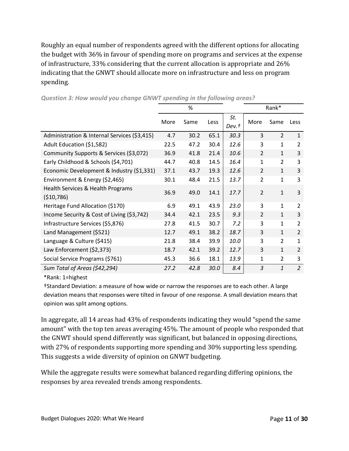Roughly an equal number of respondents agreed with the different options for allocating the budget with 36% in favour of spending more on programs and services at the expense of infrastructure, 33% considering that the current allocation is appropriate and 26% indicating that the GNWT should allocate more on infrastructure and less on program spending.

|                                                  |      | %    |      |              |                | Rank*          |                |
|--------------------------------------------------|------|------|------|--------------|----------------|----------------|----------------|
|                                                  | More | Same | Less | St.<br>Dev.t | More           | Same           | Less           |
| Administration & Internal Services (\$3,415)     | 4.7  | 30.2 | 65.1 | 30.3         | 3              | $\overline{2}$ | $\mathbf{1}$   |
| Adult Education (\$1,582)                        | 22.5 | 47.2 | 30.4 | 12.6         | 3              | $\mathbf{1}$   | 2              |
| Community Supports & Services (\$3,072)          | 36.9 | 41.8 | 21.4 | 10.6         | $\overline{2}$ | $\mathbf{1}$   | 3              |
| Early Childhood & Schools (\$4,701)              | 44.7 | 40.8 | 14.5 | 16.4         | $\mathbf{1}$   | 2              | 3              |
| Economic Development & Industry (\$1,331)        | 37.1 | 43.7 | 19.3 | 12.6         | 2              | $\mathbf{1}$   | 3              |
| Environment & Energy (\$2,465)                   | 30.1 | 48.4 | 21.5 | 13.7         | $\overline{2}$ | $\mathbf{1}$   | 3              |
| Health Services & Health Programs<br>( \$10,786) | 36.9 | 49.0 | 14.1 | 17.7         | $\overline{2}$ | $\mathbf{1}$   | 3              |
| Heritage Fund Allocation (\$170)                 | 6.9  | 49.1 | 43.9 | 23.0         | 3              | $\mathbf{1}$   | $\overline{2}$ |
| Income Security & Cost of Living (\$3,742)       | 34.4 | 42.1 | 23.5 | 9.3          | $\overline{2}$ | $\mathbf{1}$   | 3              |
| Infrastructure Services (\$5,876)                | 27.8 | 41.5 | 30.7 | 7.2          | 3              | $\mathbf{1}$   | $\overline{2}$ |
| Land Management (\$521)                          | 12.7 | 49.1 | 38.2 | 18.7         | 3              | $\mathbf{1}$   | 2              |
| Language & Culture (\$415)                       | 21.8 | 38.4 | 39.9 | 10.0         | 3              | 2              | 1              |
| Law Enforcement (\$2,373)                        | 18.7 | 42.1 | 39.2 | 12.7         | 3              | $\mathbf{1}$   | $\overline{2}$ |
| Social Service Programs (\$761)                  | 45.3 | 36.6 | 18.1 | 13.9         | $\mathbf{1}$   | $\overline{2}$ | 3              |
| Sum Total of Areas (\$42,294)                    | 27.2 | 42.8 | 30.0 | 8.4          | 3              | $\mathbf{1}$   | $\overline{2}$ |

*Question 3: How would you change GNWT spending in the following areas?*

\*Rank: 1=highest

†Standard Deviation: a measure of how wide or narrow the responses are to each other. A large deviation means that responses were tilted in favour of one response. A small deviation means that opinion was split among options.

In aggregate, all 14 areas had 43% of respondents indicating they would "spend the same amount" with the top ten areas averaging 45%. The amount of people who responded that the GNWT should spend differently was significant, but balanced in opposing directions, with 27% of respondents supporting more spending and 30% supporting less spending. This suggests a wide diversity of opinion on GNWT budgeting.

While the aggregate results were somewhat balanced regarding differing opinions, the responses by area revealed trends among respondents.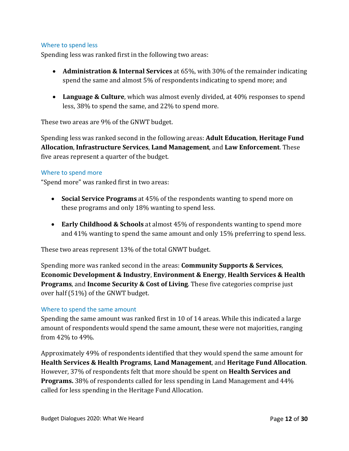#### Where to spend less

Spending less was ranked first in the following two areas:

- **Administration & Internal Services** at 65%, with 30% of the remainder indicating spend the same and almost 5% of respondents indicating to spend more; and
- **Language & Culture**, which was almost evenly divided, at 40% responses to spend less, 38% to spend the same, and 22% to spend more.

These two areas are 9% of the GNWT budget.

Spending less was ranked second in the following areas: **Adult Education**, **Heritage Fund Allocation**, **Infrastructure Services**, **Land Management**, and **Law Enforcement**. These five areas represent a quarter of the budget.

#### Where to spend more

"Spend more" was ranked first in two areas:

- **Social Service Programs** at 45% of the respondents wanting to spend more on these programs and only 18% wanting to spend less.
- **Early Childhood & Schools** at almost 45% of respondents wanting to spend more and 41% wanting to spend the same amount and only 15% preferring to spend less.

These two areas represent 13% of the total GNWT budget.

Spending more was ranked second in the areas: **Community Supports & Services**, **Economic Development & Industry**, **Environment & Energy**, **Health Services & Health Programs**, and **Income Security & Cost of Living**. These five categories comprise just over half (51%) of the GNWT budget.

#### Where to spend the same amount

Spending the same amount was ranked first in 10 of 14 areas. While this indicated a large amount of respondents would spend the same amount, these were not majorities, ranging from 42% to 49%.

Approximately 49% of respondents identified that they would spend the same amount for **Health Services & Health Programs**, **Land Management**, and **Heritage Fund Allocation**. However, 37% of respondents felt that more should be spent on **Health Services and Programs.** 38% of respondents called for less spending in Land Management and 44% called for less spending in the Heritage Fund Allocation.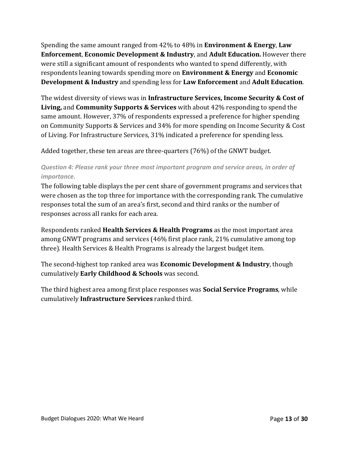Spending the same amount ranged from 42% to 48% in **Environment & Energy**, **Law Enforcement**, **Economic Development & Industry**, and **Adult Education.** However there were still a significant amount of respondents who wanted to spend differently, with respondents leaning towards spending more on **Environment & Energy** and **Economic Development & Industry** and spending less for **Law Enforcement** and **Adult Education**.

The widest diversity of views was in **Infrastructure Services, Income Security & Cost of Living,** and **Community Supports & Services** with about 42% responding to spend the same amount. However, 37% of respondents expressed a preference for higher spending on Community Supports & Services and 34% for more spending on Income Security & Cost of Living. For Infrastructure Services, 31% indicated a preference for spending less.

Added together, these ten areas are three-quarters (76%) of the GNWT budget.

## *Question 4: Please rank your three most important program and service areas, in order of importance.*

The following table displays the per cent share of government programs and services that were chosen as the top three for importance with the corresponding rank. The cumulative responses total the sum of an area's first, second and third ranks or the number of responses across all ranks for each area.

Respondents ranked **Health Services & Health Programs** as the most important area among GNWT programs and services (46% first place rank, 21% cumulative among top three). Health Services & Health Programs is already the largest budget item.

The second-highest top ranked area was **Economic Development & Industry**, though cumulatively **Early Childhood & Schools** was second.

The third highest area among first place responses was **Social Service Programs**, while cumulatively **Infrastructure Services** ranked third.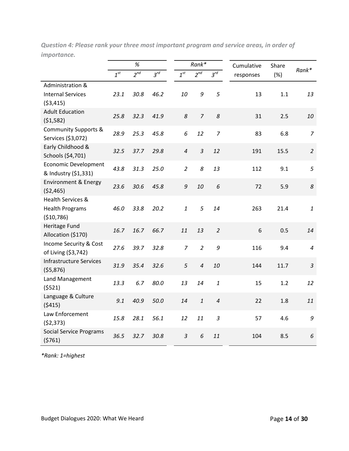|                                                  |          | %        |          |                | Rank*          |                |           | Cumulative | Share |
|--------------------------------------------------|----------|----------|----------|----------------|----------------|----------------|-----------|------------|-------|
|                                                  | $1^{st}$ | $2^{nd}$ | $3^{rd}$ | $1^{st}$       | $2^{nd}$       | $3^{rd}$       | responses |            | (%)   |
| Administration &                                 |          |          |          |                |                |                |           |            |       |
| <b>Internal Services</b>                         | 23.1     | 30.8     | 46.2     | 10             | 9              | 5              | 13        |            | 1.1   |
| (53, 415)                                        |          |          |          |                |                |                |           |            |       |
| <b>Adult Education</b>                           | 25.8     | 32.3     | 41.9     | 8              | $\overline{7}$ | 8              | 31        |            | 2.5   |
| (51,582)                                         |          |          |          |                |                |                |           |            |       |
| <b>Community Supports &amp;</b>                  | 28.9     | 25.3     | 45.8     | 6              | 12             | $\overline{7}$ | 83        |            | 6.8   |
| Services (\$3,072)                               |          |          |          |                |                |                |           |            |       |
| Early Childhood &                                | 32.5     | 37.7     | 29.8     | $\overline{4}$ | $\mathfrak{Z}$ | 12             | 191       |            | 15.5  |
| Schools (\$4,701)<br><b>Economic Development</b> |          |          |          |                |                |                |           |            |       |
| & Industry (\$1,331)                             | 43.8     | 31.3     | 25.0     | $\overline{2}$ | 8              | 13             | 112       |            | 9.1   |
| <b>Environment &amp; Energy</b>                  |          |          |          |                |                |                |           |            |       |
| (52, 465)                                        | 23.6     | 30.6     | 45.8     | 9              | 10             | 6              | 72        |            | 5.9   |
| <b>Health Services &amp;</b>                     |          |          |          |                |                |                |           |            |       |
| <b>Health Programs</b>                           | 46.0     | 33.8     | 20.2     | $\mathbf{1}$   | 5              | 14             | 263       |            | 21.4  |
| (\$10,786)                                       |          |          |          |                |                |                |           |            |       |
| <b>Heritage Fund</b>                             | 16.7     | 16.7     | 66.7     | 11             | 13             | $\overline{2}$ | 6         |            | 0.5   |
| Allocation (\$170)                               |          |          |          |                |                |                |           |            |       |
| Income Security & Cost                           | 27.6     | 39.7     | 32.8     | $\overline{7}$ | $\overline{2}$ | 9              | 116       |            | 9.4   |
| of Living (\$3,742)                              |          |          |          |                |                |                |           |            |       |
| <b>Infrastructure Services</b>                   | 31.9     | 35.4     | 32.6     | 5              | $\overline{4}$ | 10             | 144       |            | 11.7  |
| ( \$5,876)                                       |          |          |          |                |                |                |           |            |       |
| Land Management                                  | 13.3     | 6.7      | 80.0     | 13             | 14             | $\it 1$        | 15        |            | 1.2   |
| (5521)                                           |          |          |          |                |                |                |           |            |       |
| Language & Culture<br>(5415)                     | 9.1      | 40.9     | 50.0     | 14             | $\mathbf{1}$   | $\overline{4}$ | 22        |            | 1.8   |
| Law Enforcement                                  |          |          |          |                |                |                |           |            |       |
| (52, 373)                                        | 15.8     | 28.1     | 56.1     | 12             | 11             | $\mathfrak{Z}$ | 57        |            | 4.6   |
| <b>Social Service Programs</b>                   |          |          |          |                |                |                |           |            |       |
| (5761)                                           | 36.5     | 32.7     | 30.8     | $\overline{3}$ | 6              | 11             | 104       |            | 8.5   |

*Question 4: Please rank your three most important program and service areas, in order of importance.*

*\*Rank: 1=highest*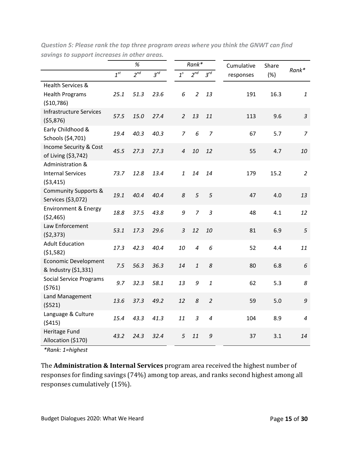|                                                       |          | $\%$     |          |                | $Rank*$        |                | Cumulative | Share |                |
|-------------------------------------------------------|----------|----------|----------|----------------|----------------|----------------|------------|-------|----------------|
|                                                       | $1^{st}$ | $2^{nd}$ | $3^{rd}$ | $1^s$          | $2^{nd}$       | $3^{rd}$       | responses  | (%)   | Rank*          |
| Health Services &                                     |          |          |          |                |                |                |            |       |                |
| <b>Health Programs</b><br>(\$10,786)                  | 25.1     | 51.3     | 23.6     | 6              | $\overline{2}$ | 13             | 191        | 16.3  | $\mathbf{1}$   |
| <b>Infrastructure Services</b>                        |          |          |          |                |                |                |            |       |                |
| (55, 876)                                             | 57.5     | 15.0     | 27.4     | $\overline{2}$ | 13             | 11             | 113        | 9.6   | $\mathfrak{Z}$ |
| Early Childhood &<br>Schools (\$4,701)                | 19.4     | 40.3     | 40.3     | $\overline{7}$ | 6              | $\overline{7}$ | 67         | 5.7   | $\overline{z}$ |
| Income Security & Cost<br>of Living (\$3,742)         | 45.5     | 27.3     | 27.3     | $\overline{a}$ | 10             | 12             | 55         | 4.7   | 10             |
| Administration &<br><b>Internal Services</b>          | 73.7     | 12.8     | 13.4     | $\mathbf{1}$   | 14             | 14             | 179        | 15.2  | $\overline{2}$ |
| ( \$3,415)                                            |          |          |          |                |                |                |            |       |                |
| <b>Community Supports &amp;</b><br>Services (\$3,072) | 19.1     | 40.4     | 40.4     | 8              | 5              | 5              | 47         | 4.0   | 13             |
| <b>Environment &amp; Energy</b><br>( \$2,465)         | 18.8     | 37.5     | 43.8     | 9              | $\overline{7}$ | $\overline{3}$ | 48         | 4.1   | 12             |
| Law Enforcement<br>(52, 373)                          | 53.1     | 17.3     | 29.6     | $\overline{3}$ | 12             | 10             | 81         | 6.9   | 5              |
| <b>Adult Education</b><br>(51,582)                    | 17.3     | 42.3     | 40.4     | 10             | $\overline{4}$ | 6              | 52         | 4.4   | 11             |
| <b>Economic Development</b><br>& Industry (\$1,331)   | 7.5      | 56.3     | 36.3     | 14             | $\mathbf{1}$   | 8              | 80         | 6.8   | 6              |
| <b>Social Service Programs</b><br>(5761)              | 9.7      | 32.3     | 58.1     | 13             | 9              | $\mathbf{1}$   | 62         | 5.3   | 8              |
| Land Management<br>(5521)                             | 13.6     | 37.3     | 49.2     | 12             | 8              | $\overline{2}$ | 59         | 5.0   | $\mathfrak g$  |
| Language & Culture<br>(5415)                          | 15.4     | 43.3     | 41.3     | 11             | $\mathfrak{Z}$ | $\overline{4}$ | 104        | 8.9   | $\overline{4}$ |
| Heritage Fund<br>Allocation (\$170)                   | 43.2     | 24.3     | 32.4     | 5              | 11             | 9              | 37         | 3.1   | 14             |

*Question 5: Please rank the top three program areas where you think the GNWT can find savings to support increases in other areas.*

*\*Rank: 1=highest*

The **Administration & Internal Services** program area received the highest number of responses for finding savings (74%) among top areas, and ranks second highest among all responses cumulatively (15%).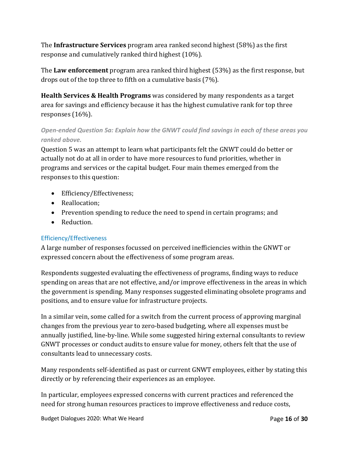The **Infrastructure Services** program area ranked second highest (58%) as the first response and cumulatively ranked third highest (10%).

The **Law enforcement** program area ranked third highest (53%) as the first response, but drops out of the top three to fifth on a cumulative basis (7%).

**Health Services & Health Programs** was considered by many respondents as a target area for savings and efficiency because it has the highest cumulative rank for top three responses (16%).

## *Open-ended Question 5a: Explain how the GNWT could find savings in each of these areas you ranked above.*

Question 5 was an attempt to learn what participants felt the GNWT could do better or actually not do at all in order to have more resources to fund priorities, whether in programs and services or the capital budget. Four main themes emerged from the responses to this question:

- Efficiency/Effectiveness;
- Reallocation;
- Prevention spending to reduce the need to spend in certain programs; and
- Reduction.

## Efficiency/Effectiveness

A large number of responses focussed on perceived inefficiencies within the GNWT or expressed concern about the effectiveness of some program areas.

Respondents suggested evaluating the effectiveness of programs, finding ways to reduce spending on areas that are not effective, and/or improve effectiveness in the areas in which the government is spending. Many responses suggested eliminating obsolete programs and positions, and to ensure value for infrastructure projects.

In a similar vein, some called for a switch from the current process of approving marginal changes from the previous year to zero-based budgeting, where all expenses must be annually justified, line-by-line. While some suggested hiring external consultants to review GNWT processes or conduct audits to ensure value for money, others felt that the use of consultants lead to unnecessary costs.

Many respondents self-identified as past or current GNWT employees, either by stating this directly or by referencing their experiences as an employee.

In particular, employees expressed concerns with current practices and referenced the need for strong human resources practices to improve effectiveness and reduce costs,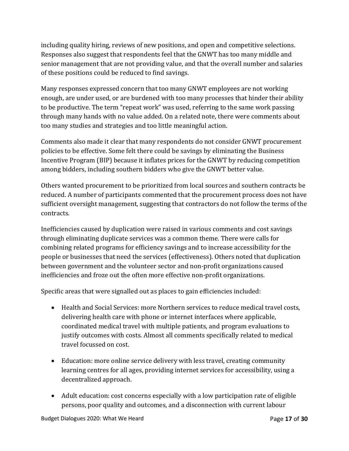including quality hiring, reviews of new positions, and open and competitive selections. Responses also suggest that respondents feel that the GNWT has too many middle and senior management that are not providing value, and that the overall number and salaries of these positions could be reduced to find savings.

Many responses expressed concern that too many GNWT employees are not working enough, are under used, or are burdened with too many processes that hinder their ability to be productive. The term "repeat work" was used, referring to the same work passing through many hands with no value added. On a related note, there were comments about too many studies and strategies and too little meaningful action.

Comments also made it clear that many respondents do not consider GNWT procurement policies to be effective. Some felt there could be savings by eliminating the Business Incentive Program (BIP) because it inflates prices for the GNWT by reducing competition among bidders, including southern bidders who give the GNWT better value.

Others wanted procurement to be prioritized from local sources and southern contracts be reduced. A number of participants commented that the procurement process does not have sufficient oversight management, suggesting that contractors do not follow the terms of the contracts.

Inefficiencies caused by duplication were raised in various comments and cost savings through eliminating duplicate services was a common theme. There were calls for combining related programs for efficiency savings and to increase accessibility for the people or businesses that need the services (effectiveness). Others noted that duplication between government and the volunteer sector and non-profit organizations caused inefficiencies and froze out the often more effective non-profit organizations.

Specific areas that were signalled out as places to gain efficiencies included:

- Health and Social Services: more Northern services to reduce medical travel costs, delivering health care with phone or internet interfaces where applicable, coordinated medical travel with multiple patients, and program evaluations to justify outcomes with costs. Almost all comments specifically related to medical travel focussed on cost.
- Education: more online service delivery with less travel, creating community learning centres for all ages, providing internet services for accessibility, using a decentralized approach.
- Adult education: cost concerns especially with a low participation rate of eligible persons, poor quality and outcomes, and a disconnection with current labour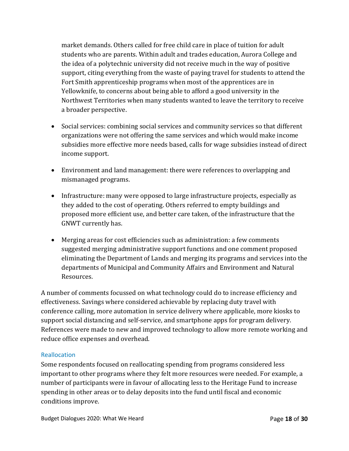market demands. Others called for free child care in place of tuition for adult students who are parents. Within adult and trades education, Aurora College and the idea of a polytechnic university did not receive much in the way of positive support, citing everything from the waste of paying travel for students to attend the Fort Smith apprenticeship programs when most of the apprentices are in Yellowknife, to concerns about being able to afford a good university in the Northwest Territories when many students wanted to leave the territory to receive a broader perspective.

- Social services: combining social services and community services so that different organizations were not offering the same services and which would make income subsidies more effective more needs based, calls for wage subsidies instead of direct income support.
- Environment and land management: there were references to overlapping and mismanaged programs.
- Infrastructure: many were opposed to large infrastructure projects, especially as they added to the cost of operating. Others referred to empty buildings and proposed more efficient use, and better care taken, of the infrastructure that the GNWT currently has.
- Merging areas for cost efficiencies such as administration: a few comments suggested merging administrative support functions and one comment proposed eliminating the Department of Lands and merging its programs and services into the departments of Municipal and Community Affairs and Environment and Natural Resources.

A number of comments focussed on what technology could do to increase efficiency and effectiveness. Savings where considered achievable by replacing duty travel with conference calling, more automation in service delivery where applicable, more kiosks to support social distancing and self-service, and smartphone apps for program delivery. References were made to new and improved technology to allow more remote working and reduce office expenses and overhead.

#### **Reallocation**

Some respondents focused on reallocating spending from programs considered less important to other programs where they felt more resources were needed. For example, a number of participants were in favour of allocating less to the Heritage Fund to increase spending in other areas or to delay deposits into the fund until fiscal and economic conditions improve.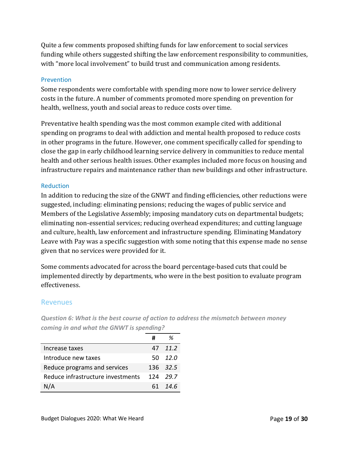Quite a few comments proposed shifting funds for law enforcement to social services funding while others suggested shifting the law enforcement responsibility to communities, with "more local involvement" to build trust and communication among residents.

#### **Prevention**

Some respondents were comfortable with spending more now to lower service delivery costs in the future. A number of comments promoted more spending on prevention for health, wellness, youth and social areas to reduce costs over time.

Preventative health spending was the most common example cited with additional spending on programs to deal with addiction and mental health proposed to reduce costs in other programs in the future. However, one comment specifically called for spending to close the gap in early childhood learning service delivery in communities to reduce mental health and other serious health issues. Other examples included more focus on housing and infrastructure repairs and maintenance rather than new buildings and other infrastructure.

#### **Reduction**

In addition to reducing the size of the GNWT and finding efficiencies, other reductions were suggested, including: eliminating pensions; reducing the wages of public service and Members of the Legislative Assembly; imposing mandatory cuts on departmental budgets; eliminating non-essential services; reducing overhead expenditures; and cutting language and culture, health, law enforcement and infrastructure spending. Eliminating Mandatory Leave with Pay was a specific suggestion with some noting that this expense made no sense given that no services were provided for it.

Some comments advocated for across the board percentage-based cuts that could be implemented directly by departments, who were in the best position to evaluate program effectiveness.

#### Revenues

**#** *%* Increase taxes 47 *11.2* Introduce new taxes 50 12.0 Reduce programs and services 136 32.5 Reduce infrastructure investments 124 *29.7* N/A 61 *14.6*

*Question 6: What is the best course of action to address the mismatch between money coming in and what the GNWT is spending?*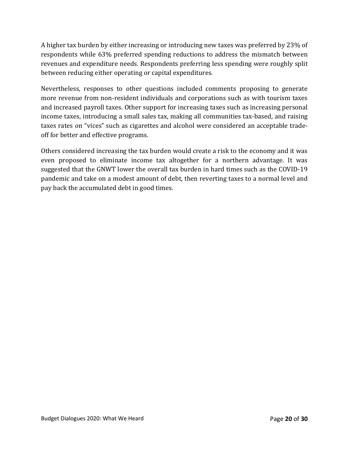A higher tax burden by either increasing or introducing new taxes was preferred by 23% of respondents while 63% preferred spending reductions to address the mismatch between revenues and expenditure needs. Respondents preferring less spending were roughly split between reducing either operating or capital expenditures.

Nevertheless, responses to other questions included comments proposing to generate more revenue from non-resident individuals and corporations such as with tourism taxes and increased payroll taxes. Other support for increasing taxes such as increasing personal income taxes, introducing a small sales tax, making all communities tax-based, and raising taxes rates on "vices" such as cigarettes and alcohol were considered an acceptable tradeoff for better and effective programs.

Others considered increasing the tax burden would create a risk to the economy and it was even proposed to eliminate income tax altogether for a northern advantage. It was suggested that the GNWT lower the overall tax burden in hard times such as the COVID-19 pandemic and take on a modest amount of debt, then reverting taxes to a normal level and pay back the accumulated debt in good times.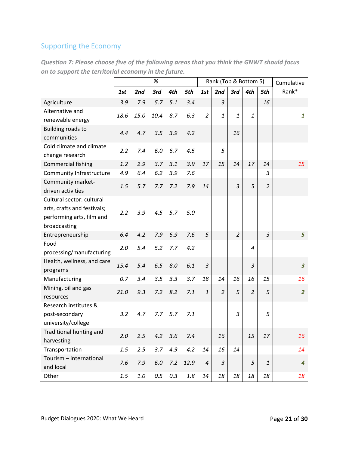# Supporting the Economy

|                                                                                                       |      |         | %    |           |         | Rank (Top & Bottom 5) |                |                | Cumulative     |                |                         |
|-------------------------------------------------------------------------------------------------------|------|---------|------|-----------|---------|-----------------------|----------------|----------------|----------------|----------------|-------------------------|
|                                                                                                       | 1st  | 2nd     | 3rd  | 4th       | 5th     | 1st                   | 2nd            | 3rd            | 4th            | 5th            | Rank*                   |
| Agriculture                                                                                           | 3.9  | 7.9     | 5.7  | 5.1       | 3.4     |                       | $\overline{3}$ |                |                | 16             |                         |
| Alternative and<br>renewable energy                                                                   | 18.6 | 15.0    | 10.4 | 8.7       | 6.3     | $\overline{2}$        | 1              | $\mathbf{1}$   | $\mathbf{1}$   |                | 1                       |
| <b>Building roads to</b><br>communities                                                               | 4.4  | 4.7     | 3.5  | 3.9       | 4.2     |                       |                | 16             |                |                |                         |
| Cold climate and climate<br>change research                                                           | 2.2  | 7.4     | 6.0  | 6.7       | 4.5     |                       | 5              |                |                |                |                         |
| <b>Commercial fishing</b>                                                                             | 1.2  | 2.9     | 3.7  | 3.1       | 3.9     | 17                    | 15             | 14             | 17             | 14             | 15                      |
| Community Infrastructure                                                                              | 4.9  | 6.4     | 6.2  | 3.9       | 7.6     |                       |                |                |                | 3              |                         |
| Community market-<br>driven activities                                                                | 1.5  | 5.7     | 7.7  | 7.2       | 7.9     | 14                    |                | $\overline{3}$ | 5              | $\overline{2}$ |                         |
| Cultural sector: cultural<br>arts, crafts and festivals;<br>performing arts, film and<br>broadcasting | 2.2  | 3.9     | 4.5  | 5.7       | 5.0     |                       |                |                |                |                |                         |
| Entrepreneurship                                                                                      | 6.4  | 4.2     | 7.9  | 6.9       | 7.6     | 5                     |                | $\overline{2}$ |                | 3              | 5                       |
| Food<br>processing/manufacturing                                                                      | 2.0  | 5.4     | 5.2  | 7.7       | 4.2     |                       |                |                | $\overline{4}$ |                |                         |
| Health, wellness, and care<br>programs                                                                | 15.4 | 5.4     | 6.5  | 8.0       | 6.1     | $\mathfrak{Z}$        |                |                | $\mathfrak{Z}$ |                | $\overline{\mathbf{3}}$ |
| Manufacturing                                                                                         | 0.7  | 3.4     | 3.5  | 3.3       | 3.7     | 18                    | 14             | 16             | 16             | 15             | 16                      |
| Mining, oil and gas<br>resources                                                                      | 21.0 | 9.3     | 7.2  | 8.2       | 7.1     | 1                     | $\overline{2}$ | 5              | $\overline{2}$ | 5              | $\overline{2}$          |
| Research institutes &<br>post-secondary<br>university/college                                         | 3.2  | 4.7     | 7.7  | 5.7       | 7.1     |                       |                | 3              |                | 5              |                         |
| Traditional hunting and<br>harvesting                                                                 | 2.0  | 2.5     | 4.2  | 3.6       | 2.4     |                       | 16             |                | 15             | 17             | 16                      |
| Transportation                                                                                        | 1.5  | 2.5     | 3.7  | 4.9       | 4.2     | 14                    | 16             | 14             |                |                | 14                      |
| Tourism - international<br>and local                                                                  | 7.6  | 7.9     | 6.0  | 7.2       | 12.9    | $\boldsymbol{4}$      | $\overline{3}$ |                | 5              | $\mathbf{1}$   | $\overline{a}$          |
| Other                                                                                                 | 1.5  | $1.0\,$ |      | $0.5$ 0.3 | $1.8\,$ | 14                    | 18             | 18             | 18             | 18             | 18                      |

*Question 7: Please choose five of the following areas that you think the GNWT should focus on to support the territorial economy in the future.*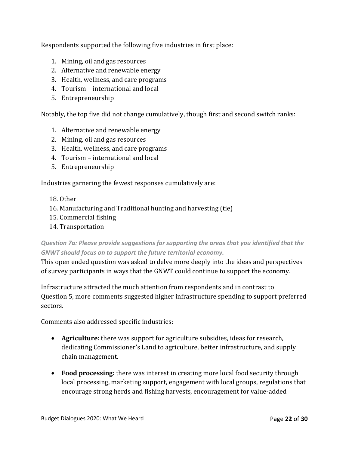Respondents supported the following five industries in first place:

- 1. Mining, oil and gas resources
- 2. Alternative and renewable energy
- 3. Health, wellness, and care programs
- 4. Tourism international and local
- 5. Entrepreneurship

Notably, the top five did not change cumulatively, though first and second switch ranks:

- 1. Alternative and renewable energy
- 2. Mining, oil and gas resources
- 3. Health, wellness, and care programs
- 4. Tourism international and local
- 5. Entrepreneurship

Industries garnering the fewest responses cumulatively are:

- 18. Other
- 16. Manufacturing and Traditional hunting and harvesting (tie)
- 15. Commercial fishing
- 14. Transportation

*Question 7a: Please provide suggestions for supporting the areas that you identified that the GNWT should focus on to support the future territorial economy.*

This open ended question was asked to delve more deeply into the ideas and perspectives of survey participants in ways that the GNWT could continue to support the economy.

Infrastructure attracted the much attention from respondents and in contrast to Question 5, more comments suggested higher infrastructure spending to support preferred sectors.

Comments also addressed specific industries:

- **Agriculture:** there was support for agriculture subsidies, ideas for research, dedicating Commissioner's Land to agriculture, better infrastructure, and supply chain management.
- **Food processing:** there was interest in creating more local food security through local processing, marketing support, engagement with local groups, regulations that encourage strong herds and fishing harvests, encouragement for value-added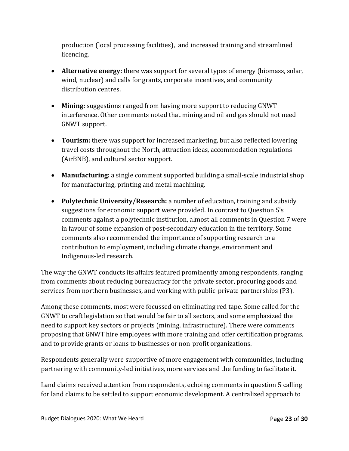production (local processing facilities), and increased training and streamlined licencing.

- **Alternative energy:** there was support for several types of energy (biomass, solar, wind, nuclear) and calls for grants, corporate incentives, and community distribution centres.
- **Mining:** suggestions ranged from having more support to reducing GNWT interference. Other comments noted that mining and oil and gas should not need GNWT support.
- **Tourism:** there was support for increased marketing, but also reflected lowering travel costs throughout the North, attraction ideas, accommodation regulations (AirBNB), and cultural sector support.
- **Manufacturing:** a single comment supported building a small-scale industrial shop for manufacturing, printing and metal machining.
- **Polytechnic University/Research:** a number of education, training and subsidy suggestions for economic support were provided. In contrast to Question 5's comments against a polytechnic institution, almost all comments in Question 7 were in favour of some expansion of post-secondary education in the territory. Some comments also recommended the importance of supporting research to a contribution to employment, including climate change, environment and Indigenous-led research.

The way the GNWT conducts its affairs featured prominently among respondents, ranging from comments about reducing bureaucracy for the private sector, procuring goods and services from northern businesses, and working with public-private partnerships (P3).

Among these comments, most were focussed on eliminating red tape. Some called for the GNWT to craft legislation so that would be fair to all sectors, and some emphasized the need to support key sectors or projects (mining, infrastructure). There were comments proposing that GNWT hire employees with more training and offer certification programs, and to provide grants or loans to businesses or non-profit organizations.

Respondents generally were supportive of more engagement with communities, including partnering with community-led initiatives, more services and the funding to facilitate it.

Land claims received attention from respondents, echoing comments in question 5 calling for land claims to be settled to support economic development. A centralized approach to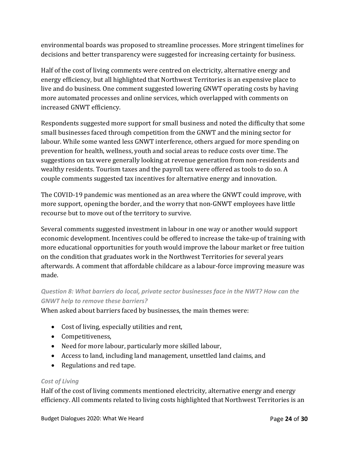environmental boards was proposed to streamline processes. More stringent timelines for decisions and better transparency were suggested for increasing certainty for business.

Half of the cost of living comments were centred on electricity, alternative energy and energy efficiency, but all highlighted that Northwest Territories is an expensive place to live and do business. One comment suggested lowering GNWT operating costs by having more automated processes and online services, which overlapped with comments on increased GNWT efficiency.

Respondents suggested more support for small business and noted the difficulty that some small businesses faced through competition from the GNWT and the mining sector for labour. While some wanted less GNWT interference, others argued for more spending on prevention for health, wellness, youth and social areas to reduce costs over time. The suggestions on tax were generally looking at revenue generation from non-residents and wealthy residents. Tourism taxes and the payroll tax were offered as tools to do so. A couple comments suggested tax incentives for alternative energy and innovation.

The COVID-19 pandemic was mentioned as an area where the GNWT could improve, with more support, opening the border, and the worry that non-GNWT employees have little recourse but to move out of the territory to survive.

Several comments suggested investment in labour in one way or another would support economic development. Incentives could be offered to increase the take-up of training with more educational opportunities for youth would improve the labour market or free tuition on the condition that graduates work in the Northwest Territories for several years afterwards. A comment that affordable childcare as a labour-force improving measure was made.

# *Question 8: What barriers do local, private sector businesses face in the NWT? How can the GNWT help to remove these barriers?*

When asked about barriers faced by businesses, the main themes were:

- Cost of living, especially utilities and rent,
- Competitiveness,
- Need for more labour, particularly more skilled labour,
- Access to land, including land management, unsettled land claims, and
- Regulations and red tape.

#### *Cost of Living*

Half of the cost of living comments mentioned electricity, alternative energy and energy efficiency. All comments related to living costs highlighted that Northwest Territories is an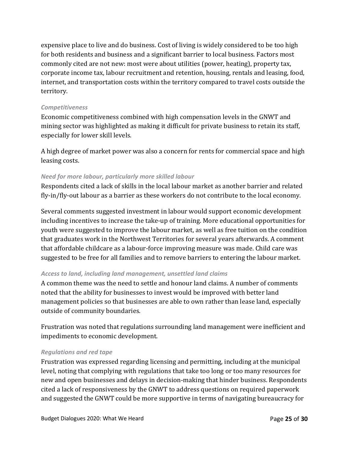expensive place to live and do business. Cost of living is widely considered to be too high for both residents and business and a significant barrier to local business. Factors most commonly cited are not new: most were about utilities (power, heating), property tax, corporate income tax, labour recruitment and retention, housing, rentals and leasing, food, internet, and transportation costs within the territory compared to travel costs outside the territory.

#### *Competitiveness*

Economic competitiveness combined with high compensation levels in the GNWT and mining sector was highlighted as making it difficult for private business to retain its staff, especially for lower skill levels.

A high degree of market power was also a concern for rents for commercial space and high leasing costs.

#### *Need for more labour, particularly more skilled labour*

Respondents cited a lack of skills in the local labour market as another barrier and related fly-in/fly-out labour as a barrier as these workers do not contribute to the local economy.

Several comments suggested investment in labour would support economic development including incentives to increase the take-up of training. More educational opportunities for youth were suggested to improve the labour market, as well as free tuition on the condition that graduates work in the Northwest Territories for several years afterwards. A comment that affordable childcare as a labour-force improving measure was made. Child care was suggested to be free for all families and to remove barriers to entering the labour market.

#### *Access to land, including land management, unsettled land claims*

A common theme was the need to settle and honour land claims. A number of comments noted that the ability for businesses to invest would be improved with better land management policies so that businesses are able to own rather than lease land, especially outside of community boundaries.

Frustration was noted that regulations surrounding land management were inefficient and impediments to economic development.

#### *Regulations and red tape*

Frustration was expressed regarding licensing and permitting, including at the municipal level, noting that complying with regulations that take too long or too many resources for new and open businesses and delays in decision-making that hinder business. Respondents cited a lack of responsiveness by the GNWT to address questions on required paperwork and suggested the GNWT could be more supportive in terms of navigating bureaucracy for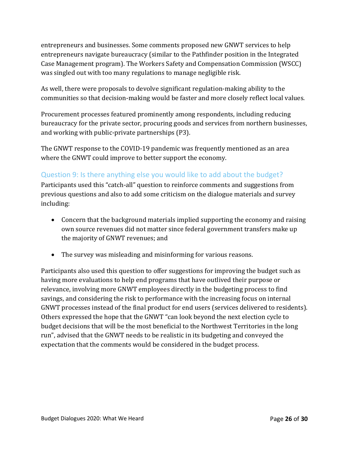entrepreneurs and businesses. Some comments proposed new GNWT services to help entrepreneurs navigate bureaucracy (similar to the Pathfinder position in the Integrated Case Management program). The Workers Safety and Compensation Commission (WSCC) was singled out with too many regulations to manage negligible risk.

As well, there were proposals to devolve significant regulation-making ability to the communities so that decision-making would be faster and more closely reflect local values.

Procurement processes featured prominently among respondents, including reducing bureaucracy for the private sector, procuring goods and services from northern businesses, and working with public-private partnerships (P3).

The GNWT response to the COVID-19 pandemic was frequently mentioned as an area where the GNWT could improve to better support the economy.

# Question 9: Is there anything else you would like to add about the budget?

Participants used this "catch-all" question to reinforce comments and suggestions from previous questions and also to add some criticism on the dialogue materials and survey including:

- Concern that the background materials implied supporting the economy and raising own source revenues did not matter since federal government transfers make up the majority of GNWT revenues; and
- The survey was misleading and misinforming for various reasons.

Participants also used this question to offer suggestions for improving the budget such as having more evaluations to help end programs that have outlived their purpose or relevance, involving more GNWT employees directly in the budgeting process to find savings, and considering the risk to performance with the increasing focus on internal GNWT processes instead of the final product for end users (services delivered to residents). Others expressed the hope that the GNWT "can look beyond the next election cycle to budget decisions that will be the most beneficial to the Northwest Territories in the long run", advised that the GNWT needs to be realistic in its budgeting and conveyed the expectation that the comments would be considered in the budget process.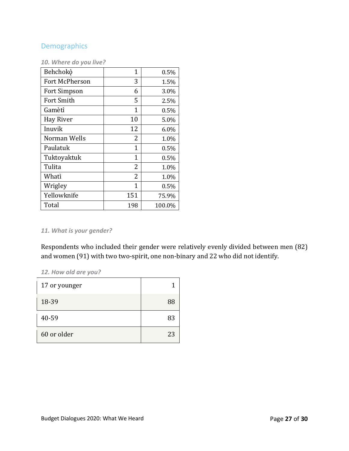## **Demographics**

#### *10. Where do you live?*

| Behchokò          | 1            | 0.5%   |
|-------------------|--------------|--------|
| Fort McPherson    | 3            | 1.5%   |
| Fort Simpson      | 6            | 3.0%   |
| <b>Fort Smith</b> | 5            | 2.5%   |
| Gamètì            | $\mathbf{1}$ | 0.5%   |
| Hay River         | 10           | 5.0%   |
| Inuvik            | 12           | 6.0%   |
| Norman Wells      | 2            | 1.0%   |
| Paulatuk          | $\mathbf{1}$ | 0.5%   |
| Tuktoyaktuk       | $\mathbf{1}$ | 0.5%   |
| Tulita            | 2            | 1.0%   |
| Whatì             | 2            | 1.0%   |
| Wrigley           | $\mathbf{1}$ | 0.5%   |
| Yellowknife       | 151          | 75.9%  |
| Total             | 198          | 100.0% |

#### *11. What is your gender?*

Respondents who included their gender were relatively evenly divided between men (82) and women (91) with two two-spirit, one non-binary and 22 who did not identify.

#### *12. How old are you?*

| 17 or younger |    |
|---------------|----|
| 18-39         | 88 |
| 40-59         | 83 |
| 60 or older   | 23 |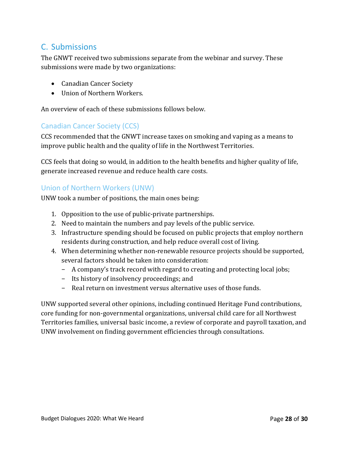# <span id="page-30-0"></span>C. Submissions

The GNWT received two submissions separate from the webinar and survey. These submissions were made by two organizations:

- Canadian Cancer Society
- Union of Northern Workers.

An overview of each of these submissions follows below.

## Canadian Cancer Society (CCS)

CCS recommended that the GNWT increase taxes on smoking and vaping as a means to improve public health and the quality of life in the Northwest Territories.

CCS feels that doing so would, in addition to the health benefits and higher quality of life, generate increased revenue and reduce health care costs.

#### Union of Northern Workers (UNW)

UNW took a number of positions, the main ones being:

- 1. Opposition to the use of public-private partnerships.
- 2. Need to maintain the numbers and pay levels of the public service.
- 3. Infrastructure spending should be focused on public projects that employ northern residents during construction, and help reduce overall cost of living.
- 4. When determining whether non-renewable resource projects should be supported, several factors should be taken into consideration:
	- − A company's track record with regard to creating and protecting local jobs;
	- − Its history of insolvency proceedings; and
	- − Real return on investment versus alternative uses of those funds.

UNW supported several other opinions, including continued Heritage Fund contributions, core funding for non-governmental organizations, universal child care for all Northwest Territories families, universal basic income, a review of corporate and payroll taxation, and UNW involvement on finding government efficiencies through consultations.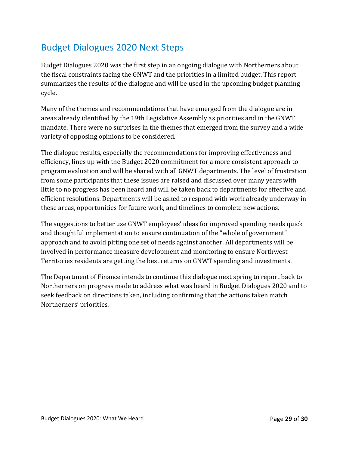# <span id="page-31-0"></span>Budget Dialogues 2020 Next Steps

Budget Dialogues 2020 was the first step in an ongoing dialogue with Northerners about the fiscal constraints facing the GNWT and the priorities in a limited budget. This report summarizes the results of the dialogue and will be used in the upcoming budget planning cycle.

Many of the themes and recommendations that have emerged from the dialogue are in areas already identified by the 19th Legislative Assembly as priorities and in the GNWT mandate. There were no surprises in the themes that emerged from the survey and a wide variety of opposing opinions to be considered.

The dialogue results, especially the recommendations for improving effectiveness and efficiency, lines up with the Budget 2020 commitment for a more consistent approach to program evaluation and will be shared with all GNWT departments. The level of frustration from some participants that these issues are raised and discussed over many years with little to no progress has been heard and will be taken back to departments for effective and efficient resolutions. Departments will be asked to respond with work already underway in these areas, opportunities for future work, and timelines to complete new actions.

The suggestions to better use GNWT employees' ideas for improved spending needs quick and thoughtful implementation to ensure continuation of the "whole of government" approach and to avoid pitting one set of needs against another. All departments will be involved in performance measure development and monitoring to ensure Northwest Territories residents are getting the best returns on GNWT spending and investments.

The Department of Finance intends to continue this dialogue next spring to report back to Northerners on progress made to address what was heard in Budget Dialogues 2020 and to seek feedback on directions taken, including confirming that the actions taken match Northerners' priorities.